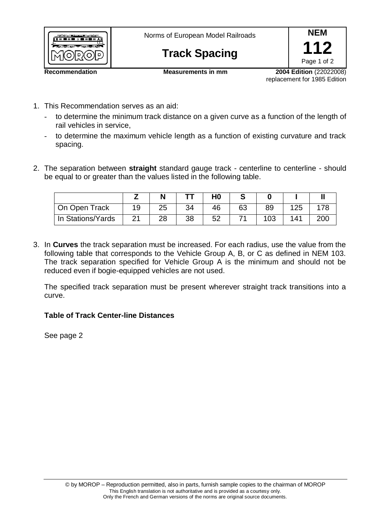

Norms of European Model Railroads

## **Track Spacing**



**Recommendation Measurements in mm 2004 Edition** (22022008) replacement for 1985 Edition

- 1. This Recommendation serves as an aid:
	- to determine the minimum track distance on a given curve as a function of the length of rail vehicles in service,
	- to determine the maximum vehicle length as a function of existing curvature and track spacing.
- 2. The separation between **straight** standard gauge track centerline to centerline should be equal to or greater than the values listed in the following table.

|                   |               |    |    | H <sub>0</sub> |    |     |     |     |
|-------------------|---------------|----|----|----------------|----|-----|-----|-----|
| On Open Track     | 19            | 25 | 34 | 46             | 63 | 89  | 125 |     |
| In Stations/Yards | $\mathcal{D}$ | ററ | 38 | よつ             |    | 103 | 141 | 200 |

3. In **Curves** the track separation must be increased. For each radius, use the value from the following table that corresponds to the Vehicle Group A, B, or C as defined in NEM 103. The track separation specified for Vehicle Group A is the minimum and should not be reduced even if bogie-equipped vehicles are not used.

The specified track separation must be present wherever straight track transitions into a curve.

## **Table of Track Center-line Distances**

See page 2